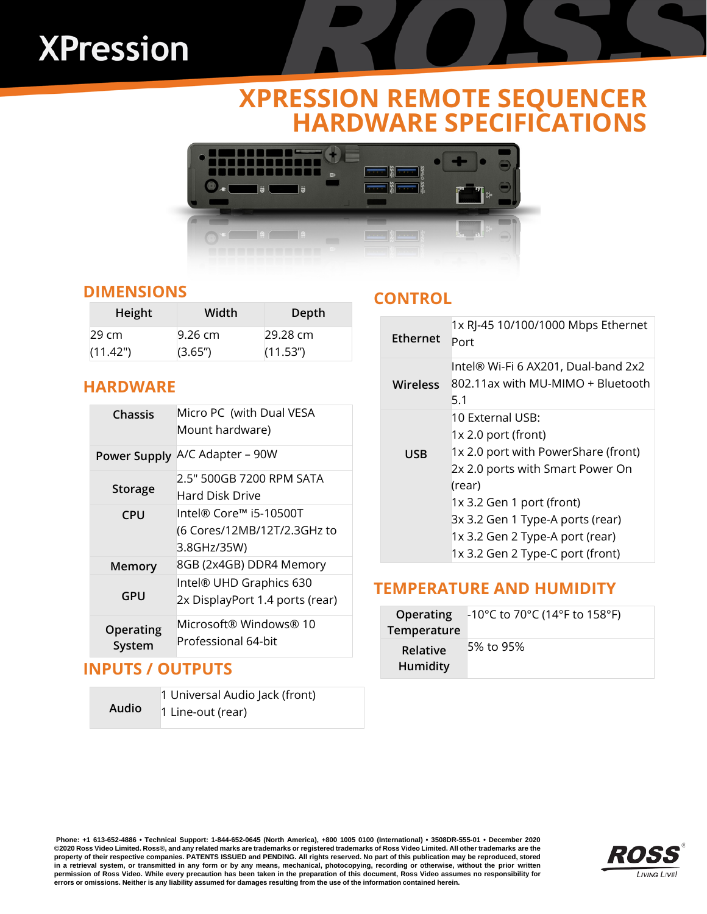# **XPression**

# **XPRESSION REMOTE SEQUENCER HARDWARE SPECIFICATIONS**



#### **DIMENSIONS**

| Height             | Width   | Depth                 |
|--------------------|---------|-----------------------|
| $29 \,\mathrm{cm}$ | 9.26 cm | $29.28 \text{ cm}$    |
| (11.42")           | (3.65") | (11.53 <sup>′</sup> ) |

#### **HARDWARE**

| Chassis             | Micro PC (with Dual VESA<br>Mount hardware)                          |
|---------------------|----------------------------------------------------------------------|
| Power Supply        | A/C Adapter - 90W                                                    |
| <b>Storage</b>      | 2.5" 500GB 7200 RPM SATA<br>Hard Disk Drive                          |
| <b>CPU</b>          | lntel® Core™ i5-10500T<br>(6 Cores/12MB/12T/2.3GHz to<br>3.8GHz/35W) |
| Memory              | 8GB (2x4GB) DDR4 Memory                                              |
| GPU                 | Intel® UHD Graphics 630<br>2x DisplayPort 1.4 ports (rear)           |
| Operating<br>System | Microsoft® Windows® 10<br>Professional 64-bit                        |

#### **INPUTS / OUTPUTS**

|              | 1 Universal Audio Jack (front) |
|--------------|--------------------------------|
| <b>Audio</b> | 1 Line-out (rear)              |

#### **CONTROL**

| <b>Ethernet</b> | 1x RJ-45 10/100/1000 Mbps Ethernet<br>Port                                                                                                                                                                                                                           |
|-----------------|----------------------------------------------------------------------------------------------------------------------------------------------------------------------------------------------------------------------------------------------------------------------|
| Wireless        | Intel® Wi-Fi 6 AX201, Dual-band 2x2<br>802.11ax with MU-MIMO + Bluetooth<br>5.1                                                                                                                                                                                      |
| <b>USB</b>      | 10 External USB:<br>1x 2.0 port (front)<br>1x 2.0 port with PowerShare (front)<br>2x 2.0 ports with Smart Power On<br>(rear)<br>1x 3.2 Gen 1 port (front)<br>3x 3.2 Gen 1 Type-A ports (rear)<br>1x 3.2 Gen 2 Type-A port (rear)<br>1x 3.2 Gen 2 Type-C port (front) |

### **TEMPERATURE AND HUMIDITY**

| <b>Operating</b><br>Temperature | $\mid$ -10°C to 70°C (14°F to 158°F) |
|---------------------------------|--------------------------------------|
| Relative<br>Humidity            | 5% to 95%                            |

**Phone: +1 613-652-4886 • Technical Support: 1-844-652-0645 (North America), +800 1005 0100 (International) • 3508DR-555-01 • December 2020** ©2020 Ross Video Limited. Ross®, and any related marks are trademarks or registered trademarks of Ross Video Limited. All other trademarks are the<br>property of their respective companies. PATENTS ISSUED and PENDING. All rig in a retrieval system, or transmitted in any form or by any means, mechanical, photocopying, recording or otherwise, without the prior written **permission of Ross Video. While every precaution has been taken in the preparation of this document, Ross Video assumes no responsibility for** errors or omissions. Neither is any liability assumed for damages resulting from the use of the information contained herein.